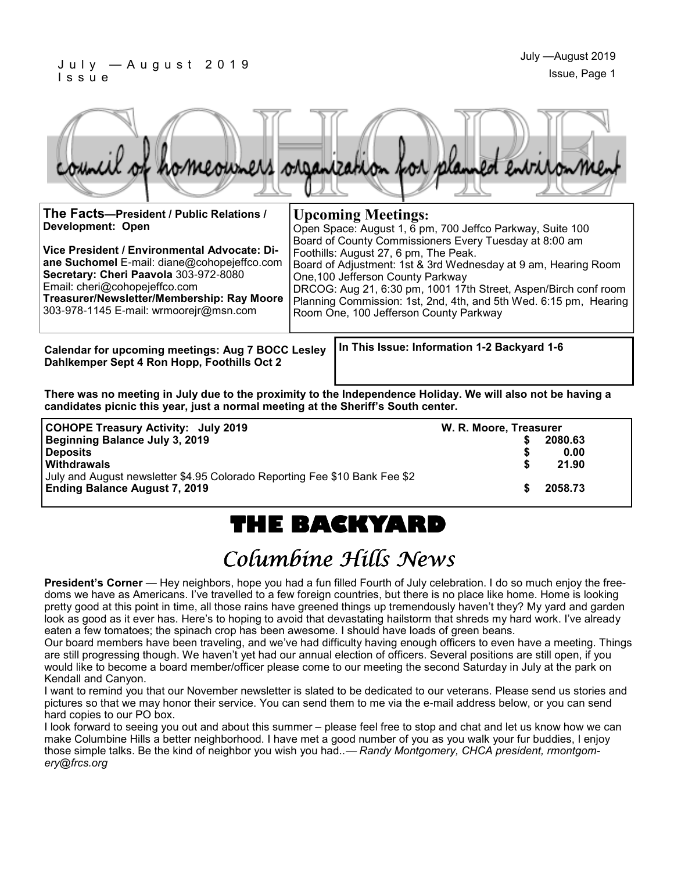|  |  |  | council of homeowners organization for planned environment |
|--|--|--|------------------------------------------------------------|
|  |  |  |                                                            |

| The Facts-President / Public Relations /<br><b>Development: Open</b><br>Vice President / Environmental Advocate: Di-<br>ane Suchomel E-mail: diane@cohopejeffco.com<br>Secretary: Cheri Paavola 303-972-8080<br>Email: cheri@cohopejeffco.com<br>Treasurer/Newsletter/Membership: Ray Moore<br>303-978-1145 E-mail: wrmoorejr@msn.com | <b>Upcoming Meetings:</b><br>Open Space: August 1, 6 pm, 700 Jeffco Parkway, Suite 100<br>Board of County Commissioners Every Tuesday at 8:00 am<br>Foothills: August 27, 6 pm, The Peak.<br>Board of Adjustment: 1st & 3rd Wednesday at 9 am, Hearing Room<br>One, 100 Jefferson County Parkway<br>DRCOG: Aug 21, 6:30 pm, 1001 17th Street, Aspen/Birch conf room<br>Planning Commission: 1st, 2nd, 4th, and 5th Wed. 6:15 pm, Hearing<br>Room One, 100 Jefferson County Parkway |  |  |  |  |  |
|---------------------------------------------------------------------------------------------------------------------------------------------------------------------------------------------------------------------------------------------------------------------------------------------------------------------------------------|------------------------------------------------------------------------------------------------------------------------------------------------------------------------------------------------------------------------------------------------------------------------------------------------------------------------------------------------------------------------------------------------------------------------------------------------------------------------------------|--|--|--|--|--|
| Colorder for uncoming mostings: Aug 7 ROCC Looky, Lin This Issue: Information 1-2 Backvard 1-6                                                                                                                                                                                                                                        |                                                                                                                                                                                                                                                                                                                                                                                                                                                                                    |  |  |  |  |  |

**Calendar for upcoming meetings: Aug 7 BOCC Lesley Dahlkemper Sept 4 Ron Hopp, Foothills Oct 2** 

**In This Issue: Information 1-2 Backyard 1-6** 

**There was no meeting in July due to the proximity to the Independence Holiday. We will also not be having a candidates picnic this year, just a normal meeting at the Sheriff's South center.**

| <b>COHOPE Treasury Activity: July 2019</b>                                 | W. R. Moore, Treasurer |         |
|----------------------------------------------------------------------------|------------------------|---------|
| Beginning Balance July 3, 2019                                             |                        | 2080.63 |
| <b>Deposits</b>                                                            |                        | 0.00    |
| <b>Withdrawals</b>                                                         |                        | 21.90   |
| July and August newsletter \$4.95 Colorado Reporting Fee \$10 Bank Fee \$2 |                        |         |
| <b>Ending Balance August 7, 2019</b>                                       |                        | 2058.73 |
|                                                                            |                        |         |

## **THE BACKYARD**

## Columbine Hills News

**President's Corner** — Hey neighbors, hope you had a fun filled Fourth of July celebration. I do so much enjoy the freedoms we have as Americans. I've travelled to a few foreign countries, but there is no place like home. Home is looking pretty good at this point in time, all those rains have greened things up tremendously haven't they? My yard and garden look as good as it ever has. Here's to hoping to avoid that devastating hailstorm that shreds my hard work. I've already eaten a few tomatoes; the spinach crop has been awesome. I should have loads of green beans.

Our board members have been traveling, and we've had difficulty having enough officers to even have a meeting. Things are still progressing though. We haven't yet had our annual election of officers. Several positions are still open, if you would like to become a board member/officer please come to our meeting the second Saturday in July at the park on Kendall and Canyon.

I want to remind you that our November newsletter is slated to be dedicated to our veterans. Please send us stories and pictures so that we may honor their service. You can send them to me via the e-mail address below, or you can send hard copies to our PO box.

I look forward to seeing you out and about this summer – please feel free to stop and chat and let us know how we can make Columbine Hills a better neighborhood. I have met a good number of you as you walk your fur buddies, I enjoy those simple talks. Be the kind of neighbor you wish you had..— *Randy Montgomery, CHCA president, rmontgomery@frcs.org*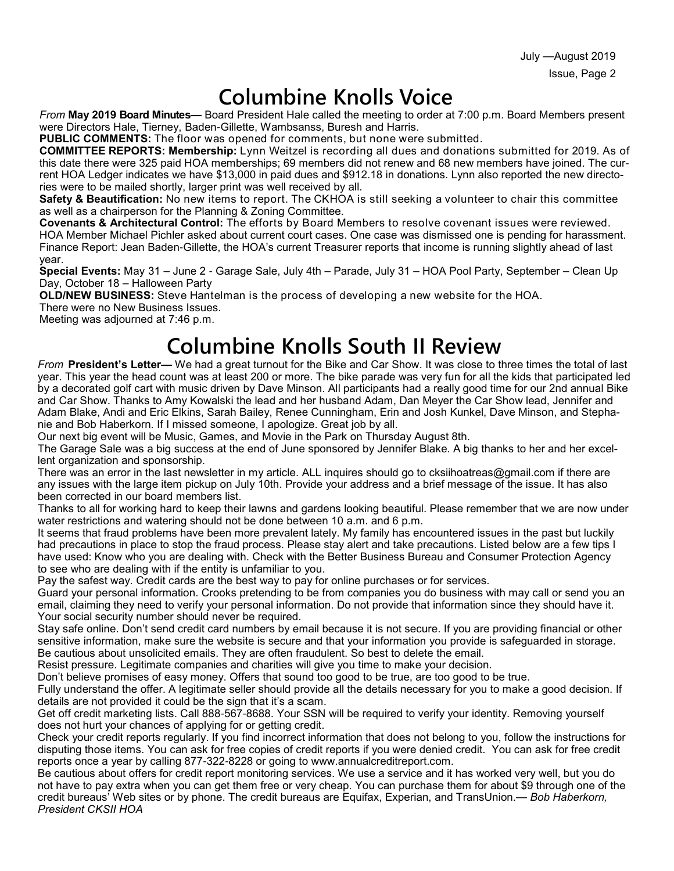# **Columbine Knolls Voice**

*From* **May 2019 Board Minutes—** Board President Hale called the meeting to order at 7:00 p.m. Board Members present were Directors Hale, Tierney, Baden-Gillette, Wambsanss, Buresh and Harris.

**PUBLIC COMMENTS:** The floor was opened for comments, but none were submitted.

**COMMITTEE REPORTS: Membership:** Lynn Weitzel is recording all dues and donations submitted for 2019. As of this date there were 325 paid HOA memberships; 69 members did not renew and 68 new members have joined. The current HOA Ledger indicates we have \$13,000 in paid dues and \$912.18 in donations. Lynn also reported the new directories were to be mailed shortly, larger print was well received by all.

**Safety & Beautification:** No new items to report. The CKHOA is still seeking a volunteer to chair this committee as well as a chairperson for the Planning & Zoning Committee.

**Covenants & Architectural Control:** The efforts by Board Members to resolve covenant issues were reviewed. HOA Member Michael Pichler asked about current court cases. One case was dismissed one is pending for harassment. Finance Report: Jean Baden-Gillette, the HOA's current Treasurer reports that income is running slightly ahead of last year.

**Special Events:** May 31 – June 2 - Garage Sale, July 4th – Parade, July 31 – HOA Pool Party, September – Clean Up Day, October 18 – Halloween Party

**OLD/NEW BUSINESS:** Steve Hantelman is the process of developing a new website for the HOA.

There were no New Business Issues.

Meeting was adjourned at 7:46 p.m.

# **Columbine Knolls South II Review**

*From* **President's Letter—** We had a great turnout for the Bike and Car Show. It was close to three times the total of last year. This year the head count was at least 200 or more. The bike parade was very fun for all the kids that participated led by a decorated golf cart with music driven by Dave Minson. All participants had a really good time for our 2nd annual Bike and Car Show. Thanks to Amy Kowalski the lead and her husband Adam, Dan Meyer the Car Show lead, Jennifer and Adam Blake, Andi and Eric Elkins, Sarah Bailey, Renee Cunningham, Erin and Josh Kunkel, Dave Minson, and Stephanie and Bob Haberkorn. If I missed someone, I apologize. Great job by all.

Our next big event will be Music, Games, and Movie in the Park on Thursday August 8th.

The Garage Sale was a big success at the end of June sponsored by Jennifer Blake. A big thanks to her and her excellent organization and sponsorship.

There was an error in the last newsletter in my article. ALL inquires should go to cksiihoatreas@gmail.com if there are any issues with the large item pickup on July 10th. Provide your address and a brief message of the issue. It has also been corrected in our board members list.

Thanks to all for working hard to keep their lawns and gardens looking beautiful. Please remember that we are now under water restrictions and watering should not be done between 10 a.m. and 6 p.m.

It seems that fraud problems have been more prevalent lately. My family has encountered issues in the past but luckily had precautions in place to stop the fraud process. Please stay alert and take precautions. Listed below are a few tips I have used: Know who you are dealing with. Check with the Better Business Bureau and Consumer Protection Agency to see who are dealing with if the entity is unfamiliar to you.

Pay the safest way. Credit cards are the best way to pay for online purchases or for services.

Guard your personal information. Crooks pretending to be from companies you do business with may call or send you an email, claiming they need to verify your personal information. Do not provide that information since they should have it. Your social security number should never be required.

Stay safe online. Don't send credit card numbers by email because it is not secure. If you are providing financial or other sensitive information, make sure the website is secure and that your information you provide is safeguarded in storage. Be cautious about unsolicited emails. They are often fraudulent. So best to delete the email.

Resist pressure. Legitimate companies and charities will give you time to make your decision.

Don't believe promises of easy money. Offers that sound too good to be true, are too good to be true.

Fully understand the offer. A legitimate seller should provide all the details necessary for you to make a good decision. If details are not provided it could be the sign that it's a scam.

Get off credit marketing lists. Call 888-567-8688. Your SSN will be required to verify your identity. Removing yourself does not hurt your chances of applying for or getting credit.

Check your credit reports regularly. If you find incorrect information that does not belong to you, follow the instructions for disputing those items. You can ask for free copies of credit reports if you were denied credit. You can ask for free credit reports once a year by calling 877-322-8228 or going to www.annualcreditreport.com.

Be cautious about offers for credit report monitoring services. We use a service and it has worked very well, but you do not have to pay extra when you can get them free or very cheap. You can purchase them for about \$9 through one of the credit bureaus' Web sites or by phone. The credit bureaus are Equifax, Experian, and TransUnion.— *Bob Haberkorn, President CKSII HOA*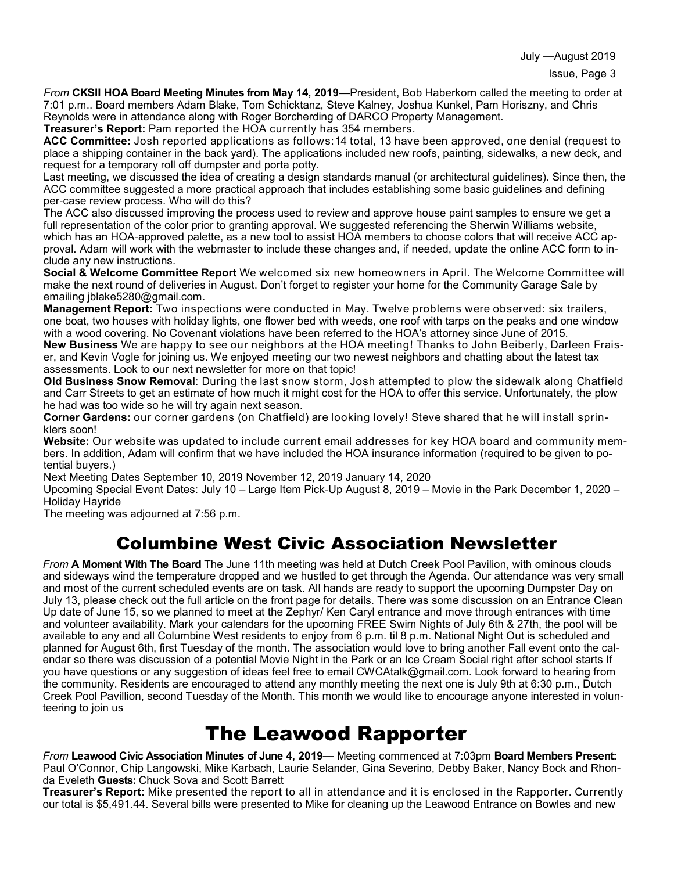July —August 2019

*From* **CKSII HOA Board Meeting Minutes from May 14, 2019—**President, Bob Haberkorn called the meeting to order at 7:01 p.m.. Board members Adam Blake, Tom Schicktanz, Steve Kalney, Joshua Kunkel, Pam Horiszny, and Chris Reynolds were in attendance along with Roger Borcherding of DARCO Property Management.

**Treasurer's Report:** Pam reported the HOA currently has 354 members.

**ACC Committee:** Josh reported applications as follows:14 total, 13 have been approved, one denial (request to place a shipping container in the back yard). The applications included new roofs, painting, sidewalks, a new deck, and request for a temporary roll off dumpster and porta potty.

Last meeting, we discussed the idea of creating a design standards manual (or architectural guidelines). Since then, the ACC committee suggested a more practical approach that includes establishing some basic guidelines and defining per-case review process. Who will do this?

The ACC also discussed improving the process used to review and approve house paint samples to ensure we get a full representation of the color prior to granting approval. We suggested referencing the Sherwin Williams website, which has an HOA-approved palette, as a new tool to assist HOA members to choose colors that will receive ACC approval. Adam will work with the webmaster to include these changes and, if needed, update the online ACC form to include any new instructions.

**Social & Welcome Committee Report** We welcomed six new homeowners in April. The Welcome Committee will make the next round of deliveries in August. Don't forget to register your home for the Community Garage Sale by emailing jblake5280@gmail.com.

**Management Report:** Two inspections were conducted in May. Twelve problems were observed: six trailers, one boat, two houses with holiday lights, one flower bed with weeds, one roof with tarps on the peaks and one window with a wood covering. No Covenant violations have been referred to the HOA's attorney since June of 2015.

**New Business** We are happy to see our neighbors at the HOA meeting! Thanks to John Beiberly, Darleen Fraiser, and Kevin Vogle for joining us. We enjoyed meeting our two newest neighbors and chatting about the latest tax assessments. Look to our next newsletter for more on that topic!

**Old Business Snow Removal**: During the last snow storm, Josh attempted to plow the sidewalk along Chatfield and Carr Streets to get an estimate of how much it might cost for the HOA to offer this service. Unfortunately, the plow he had was too wide so he will try again next season.

**Corner Gardens:** our corner gardens (on Chatfield) are looking lovely! Steve shared that he will install sprinklers soon!

**Website:** Our website was updated to include current email addresses for key HOA board and community members. In addition, Adam will confirm that we have included the HOA insurance information (required to be given to potential buyers.)

Next Meeting Dates September 10, 2019 November 12, 2019 January 14, 2020

Upcoming Special Event Dates: July 10 – Large Item Pick-Up August 8, 2019 – Movie in the Park December 1, 2020 – Holiday Hayride

The meeting was adjourned at 7:56 p.m.

### Columbine West Civic Association Newsletter

*From* **A Moment With The Board** The June 11th meeting was held at Dutch Creek Pool Pavilion, with ominous clouds and sideways wind the temperature dropped and we hustled to get through the Agenda. Our attendance was very small and most of the current scheduled events are on task. All hands are ready to support the upcoming Dumpster Day on July 13, please check out the full article on the front page for details. There was some discussion on an Entrance Clean Up date of June 15, so we planned to meet at the Zephyr/ Ken Caryl entrance and move through entrances with time and volunteer availability. Mark your calendars for the upcoming FREE Swim Nights of July 6th & 27th, the pool will be available to any and all Columbine West residents to enjoy from 6 p.m. til 8 p.m. National Night Out is scheduled and planned for August 6th, first Tuesday of the month. The association would love to bring another Fall event onto the calendar so there was discussion of a potential Movie Night in the Park or an Ice Cream Social right after school starts If you have questions or any suggestion of ideas feel free to email CWCAtalk@gmail.com. Look forward to hearing from the community. Residents are encouraged to attend any monthly meeting the next one is July 9th at 6:30 p.m., Dutch Creek Pool Pavillion, second Tuesday of the Month. This month we would like to encourage anyone interested in volunteering to join us

### The Leawood Rapporter

*From* **Leawood Civic Association Minutes of June 4, 2019**— Meeting commenced at 7:03pm **Board Members Present:** Paul O'Connor, Chip Langowski, Mike Karbach, Laurie Selander, Gina Severino, Debby Baker, Nancy Bock and Rhonda Eveleth **Guests:** Chuck Sova and Scott Barrett

**Treasurer's Report:** Mike presented the report to all in attendance and it is enclosed in the Rapporter. Currently our total is \$5,491.44. Several bills were presented to Mike for cleaning up the Leawood Entrance on Bowles and new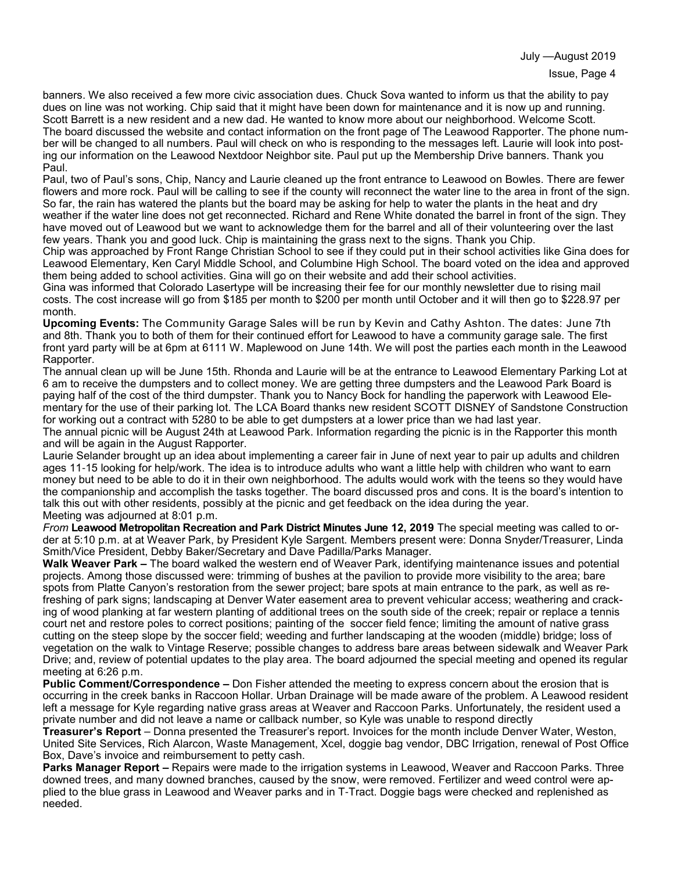banners. We also received a few more civic association dues. Chuck Sova wanted to inform us that the ability to pay dues on line was not working. Chip said that it might have been down for maintenance and it is now up and running. Scott Barrett is a new resident and a new dad. He wanted to know more about our neighborhood. Welcome Scott. The board discussed the website and contact information on the front page of The Leawood Rapporter. The phone number will be changed to all numbers. Paul will check on who is responding to the messages left. Laurie will look into posting our information on the Leawood Nextdoor Neighbor site. Paul put up the Membership Drive banners. Thank you Paul.

Paul, two of Paul's sons, Chip, Nancy and Laurie cleaned up the front entrance to Leawood on Bowles. There are fewer flowers and more rock. Paul will be calling to see if the county will reconnect the water line to the area in front of the sign. So far, the rain has watered the plants but the board may be asking for help to water the plants in the heat and dry weather if the water line does not get reconnected. Richard and Rene White donated the barrel in front of the sign. They have moved out of Leawood but we want to acknowledge them for the barrel and all of their volunteering over the last few years. Thank you and good luck. Chip is maintaining the grass next to the signs. Thank you Chip.

Chip was approached by Front Range Christian School to see if they could put in their school activities like Gina does for Leawood Elementary, Ken Caryl Middle School, and Columbine High School. The board voted on the idea and approved them being added to school activities. Gina will go on their website and add their school activities.

Gina was informed that Colorado Lasertype will be increasing their fee for our monthly newsletter due to rising mail costs. The cost increase will go from \$185 per month to \$200 per month until October and it will then go to \$228.97 per month.

**Upcoming Events:** The Community Garage Sales will be run by Kevin and Cathy Ashton. The dates: June 7th and 8th. Thank you to both of them for their continued effort for Leawood to have a community garage sale. The first front yard party will be at 6pm at 6111 W. Maplewood on June 14th. We will post the parties each month in the Leawood Rapporter.

The annual clean up will be June 15th. Rhonda and Laurie will be at the entrance to Leawood Elementary Parking Lot at 6 am to receive the dumpsters and to collect money. We are getting three dumpsters and the Leawood Park Board is paying half of the cost of the third dumpster. Thank you to Nancy Bock for handling the paperwork with Leawood Elementary for the use of their parking lot. The LCA Board thanks new resident SCOTT DISNEY of Sandstone Construction for working out a contract with 5280 to be able to get dumpsters at a lower price than we had last year.

The annual picnic will be August 24th at Leawood Park. Information regarding the picnic is in the Rapporter this month and will be again in the August Rapporter.

Laurie Selander brought up an idea about implementing a career fair in June of next year to pair up adults and children ages 11-15 looking for help/work. The idea is to introduce adults who want a little help with children who want to earn money but need to be able to do it in their own neighborhood. The adults would work with the teens so they would have the companionship and accomplish the tasks together. The board discussed pros and cons. It is the board's intention to talk this out with other residents, possibly at the picnic and get feedback on the idea during the year. Meeting was adjourned at 8:01 p.m.

*From* **Leawood Metropolitan Recreation and Park District Minutes June 12, 2019** The special meeting was called to order at 5:10 p.m. at at Weaver Park, by President Kyle Sargent. Members present were: Donna Snyder/Treasurer, Linda Smith/Vice President, Debby Baker/Secretary and Dave Padilla/Parks Manager.

**Walk Weaver Park –** The board walked the western end of Weaver Park, identifying maintenance issues and potential projects. Among those discussed were: trimming of bushes at the pavilion to provide more visibility to the area; bare spots from Platte Canyon's restoration from the sewer project; bare spots at main entrance to the park, as well as refreshing of park signs; landscaping at Denver Water easement area to prevent vehicular access; weathering and cracking of wood planking at far western planting of additional trees on the south side of the creek; repair or replace a tennis court net and restore poles to correct positions; painting of the soccer field fence; limiting the amount of native grass cutting on the steep slope by the soccer field; weeding and further landscaping at the wooden (middle) bridge; loss of vegetation on the walk to Vintage Reserve; possible changes to address bare areas between sidewalk and Weaver Park Drive; and, review of potential updates to the play area. The board adjourned the special meeting and opened its regular meeting at 6:26 p.m.

**Public Comment/Correspondence –** Don Fisher attended the meeting to express concern about the erosion that is occurring in the creek banks in Raccoon Hollar. Urban Drainage will be made aware of the problem. A Leawood resident left a message for Kyle regarding native grass areas at Weaver and Raccoon Parks. Unfortunately, the resident used a private number and did not leave a name or callback number, so Kyle was unable to respond directly

**Treasurer's Report** – Donna presented the Treasurer's report. Invoices for the month include Denver Water, Weston, United Site Services, Rich Alarcon, Waste Management, Xcel, doggie bag vendor, DBC Irrigation, renewal of Post Office Box, Dave's invoice and reimbursement to petty cash.

**Parks Manager Report –** Repairs were made to the irrigation systems in Leawood, Weaver and Raccoon Parks. Three downed trees, and many downed branches, caused by the snow, were removed. Fertilizer and weed control were applied to the blue grass in Leawood and Weaver parks and in T-Tract. Doggie bags were checked and replenished as needed.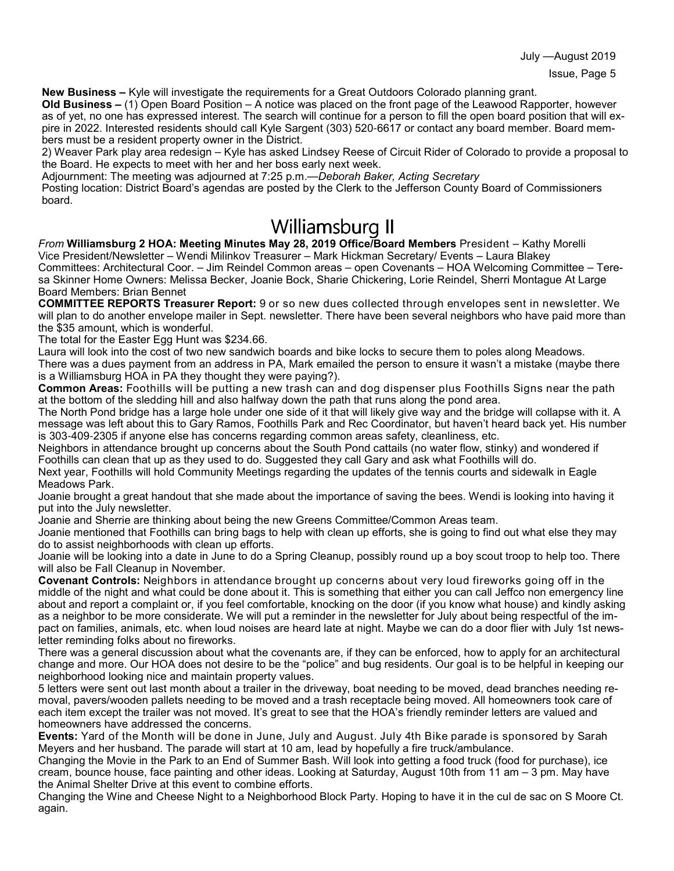July —August 2019

**New Business –** Kyle will investigate the requirements for a Great Outdoors Colorado planning grant.

**Old Business –** (1) Open Board Position – A notice was placed on the front page of the Leawood Rapporter, however as of yet, no one has expressed interest. The search will continue for a person to fill the open board position that will expire in 2022. Interested residents should call Kyle Sargent (303) 520-6617 or contact any board member. Board members must be a resident property owner in the District.

2) Weaver Park play area redesign – Kyle has asked Lindsey Reese of Circuit Rider of Colorado to provide a proposal to the Board. He expects to meet with her and her boss early next week.

Adjournment: The meeting was adjourned at 7:25 p.m.—*Deborah Baker, Acting Secretary*

Posting location: District Board's agendas are posted by the Clerk to the Jefferson County Board of Commissioners board.

### Williamsburg II

*From* **Williamsburg 2 HOA: Meeting Minutes May 28, 2019 Office/Board Members** President – Kathy Morelli Vice President/Newsletter – Wendi Milinkov Treasurer – Mark Hickman Secretary/ Events – Laura Blakey Committees: Architectural Coor. – Jim Reindel Common areas – open Covenants – HOA Welcoming Committee – Teresa Skinner Home Owners: Melissa Becker, Joanie Bock, Sharie Chickering, Lorie Reindel, Sherri Montague At Large Board Members: Brian Bennet

**COMMITTEE REPORTS Treasurer Report:** 9 or so new dues collected through envelopes sent in newsletter. We will plan to do another envelope mailer in Sept. newsletter. There have been several neighbors who have paid more than the \$35 amount, which is wonderful.

The total for the Easter Egg Hunt was \$234.66.

Laura will look into the cost of two new sandwich boards and bike locks to secure them to poles along Meadows. There was a dues payment from an address in PA, Mark emailed the person to ensure it wasn't a mistake (maybe there is a Williamsburg HOA in PA they thought they were paying?).

**Common Areas:** Foothills will be putting a new trash can and dog dispenser plus Foothills Signs near the path at the bottom of the sledding hill and also halfway down the path that runs along the pond area.

The North Pond bridge has a large hole under one side of it that will likely give way and the bridge will collapse with it. A message was left about this to Gary Ramos, Foothills Park and Rec Coordinator, but haven't heard back yet. His number is 303-409-2305 if anyone else has concerns regarding common areas safety, cleanliness, etc.

Neighbors in attendance brought up concerns about the South Pond cattails (no water flow, stinky) and wondered if Foothills can clean that up as they used to do. Suggested they call Gary and ask what Foothills will do.

Next year, Foothills will hold Community Meetings regarding the updates of the tennis courts and sidewalk in Eagle Meadows Park.

Joanie brought a great handout that she made about the importance of saving the bees. Wendi is looking into having it put into the July newsletter.

Joanie and Sherrie are thinking about being the new Greens Committee/Common Areas team.

Joanie mentioned that Foothills can bring bags to help with clean up efforts, she is going to find out what else they may do to assist neighborhoods with clean up efforts.

Joanie will be looking into a date in June to do a Spring Cleanup, possibly round up a boy scout troop to help too. There will also be Fall Cleanup in November.

**Covenant Controls:** Neighbors in attendance brought up concerns about very loud fireworks going off in the middle of the night and what could be done about it. This is something that either you can call Jeffco non emergency line about and report a complaint or, if you feel comfortable, knocking on the door (if you know what house) and kindly asking as a neighbor to be more considerate. We will put a reminder in the newsletter for July about being respectful of the impact on families, animals, etc. when loud noises are heard late at night. Maybe we can do a door flier with July 1st newsletter reminding folks about no fireworks.

There was a general discussion about what the covenants are, if they can be enforced, how to apply for an architectural change and more. Our HOA does not desire to be the "police" and bug residents. Our goal is to be helpful in keeping our neighborhood looking nice and maintain property values.

5 letters were sent out last month about a trailer in the driveway, boat needing to be moved, dead branches needing removal, pavers/wooden pallets needing to be moved and a trash receptacle being moved. All homeowners took care of each item except the trailer was not moved. It's great to see that the HOA's friendly reminder letters are valued and homeowners have addressed the concerns.

**Events:** Yard of the Month will be done in June, July and August. July 4th Bike parade is sponsored by Sarah Meyers and her husband. The parade will start at 10 am, lead by hopefully a fire truck/ambulance.

Changing the Movie in the Park to an End of Summer Bash. Will look into getting a food truck (food for purchase), ice cream, bounce house, face painting and other ideas. Looking at Saturday, August 10th from 11 am – 3 pm. May have the Animal Shelter Drive at this event to combine efforts.

Changing the Wine and Cheese Night to a Neighborhood Block Party. Hoping to have it in the cul de sac on S Moore Ct. again.